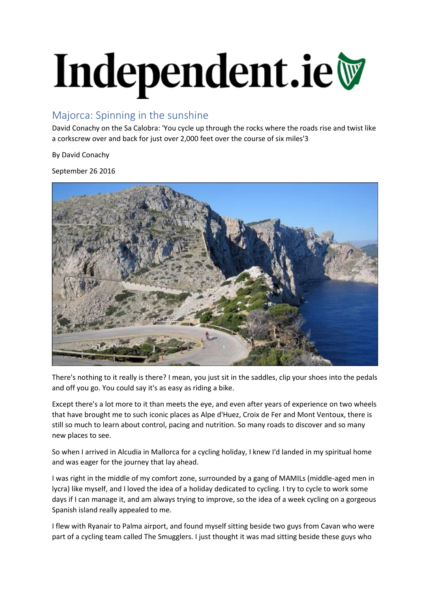## Independent.ie

## Majorca: Spinning in the sunshine

David Conachy on the Sa Calobra: 'You cycle up through the rocks where the roads rise and twist like a corkscrew over and back for just over 2,000 feet over the course of six miles'3

By David Conachy

September 26 2016



There's nothing to it really is there? I mean, you just sit in the saddles, clip your shoes into the pedals and off you go. You could say it's as easy as riding a bike.

Except there's a lot more to it than meets the eye, and even after years of experience on two wheels that have brought me to such iconic places as Alpe d'Huez, Croix de Fer and Mont Ventoux, there is still so much to learn about control, pacing and nutrition. So many roads to discover and so many new places to see.

So when I arrived in Alcudia in Mallorca for a cycling holiday, I knew I'd landed in my spiritual home and was eager for the journey that lay ahead.

I was right in the middle of my comfort zone, surrounded by a gang of MAMILs (middle-aged men in lycra) like myself, and I loved the idea of a holiday dedicated to cycling. I try to cycle to work some days if I can manage it, and am always trying to improve, so the idea of a week cycling on a gorgeous Spanish island really appealed to me.

I flew with Ryanair to Palma airport, and found myself sitting beside two guys from Cavan who were part of a cycling team called The Smugglers. I just thought it was mad sitting beside these guys who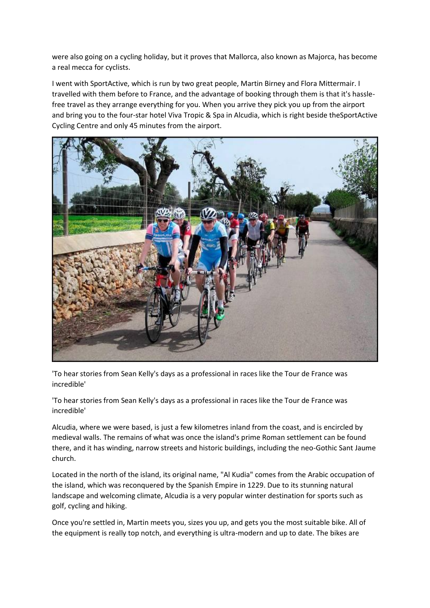were also going on a cycling holiday, but it proves that Mallorca, also known as Majorca, has become a real mecca for cyclists.

I went with SportActive, which is run by two great people, Martin Birney and Flora Mittermair. I travelled with them before to France, and the advantage of booking through them is that it's hasslefree travel as they arrange everything for you. When you arrive they pick you up from the airport and bring you to the four-star hotel Viva Tropic & Spa in Alcudia, which is right beside theSportActive Cycling Centre and only 45 minutes from the airport.



'To hear stories from Sean Kelly's days as a professional in races like the Tour de France was incredible'

'To hear stories from Sean Kelly's days as a professional in races like the Tour de France was incredible'

Alcudia, where we were based, is just a few kilometres inland from the coast, and is encircled by medieval walls. The remains of what was once the island's prime Roman settlement can be found there, and it has winding, narrow streets and historic buildings, including the neo-Gothic Sant Jaume church.

Located in the north of the island, its original name, "Al Kudia" comes from the Arabic occupation of the island, which was reconquered by the Spanish Empire in 1229. Due to its stunning natural landscape and welcoming climate, Alcudia is a very popular winter destination for sports such as golf, cycling and hiking.

Once you're settled in, Martin meets you, sizes you up, and gets you the most suitable bike. All of the equipment is really top notch, and everything is ultra-modern and up to date. The bikes are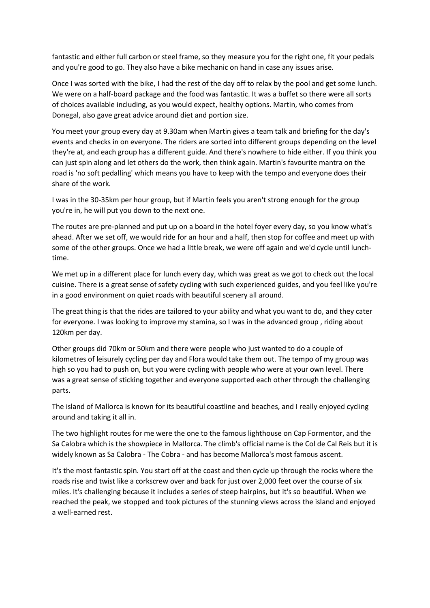fantastic and either full carbon or steel frame, so they measure you for the right one, fit your pedals and you're good to go. They also have a bike mechanic on hand in case any issues arise.

Once I was sorted with the bike, I had the rest of the day off to relax by the pool and get some lunch. We were on a half-board package and the food was fantastic. It was a buffet so there were all sorts of choices available including, as you would expect, healthy options. Martin, who comes from Donegal, also gave great advice around diet and portion size.

You meet your group every day at 9.30am when Martin gives a team talk and briefing for the day's events and checks in on everyone. The riders are sorted into different groups depending on the level they're at, and each group has a different guide. And there's nowhere to hide either. If you think you can just spin along and let others do the work, then think again. Martin's favourite mantra on the road is 'no soft pedalling' which means you have to keep with the tempo and everyone does their share of the work.

I was in the 30-35km per hour group, but if Martin feels you aren't strong enough for the group you're in, he will put you down to the next one.

The routes are pre-planned and put up on a board in the hotel foyer every day, so you know what's ahead. After we set off, we would ride for an hour and a half, then stop for coffee and meet up with some of the other groups. Once we had a little break, we were off again and we'd cycle until lunchtime.

We met up in a different place for lunch every day, which was great as we got to check out the local cuisine. There is a great sense of safety cycling with such experienced guides, and you feel like you're in a good environment on quiet roads with beautiful scenery all around.

The great thing is that the rides are tailored to your ability and what you want to do, and they cater for everyone. I was looking to improve my stamina, so I was in the advanced group , riding about 120km per day.

Other groups did 70km or 50km and there were people who just wanted to do a couple of kilometres of leisurely cycling per day and Flora would take them out. The tempo of my group was high so you had to push on, but you were cycling with people who were at your own level. There was a great sense of sticking together and everyone supported each other through the challenging parts.

The island of Mallorca is known for its beautiful coastline and beaches, and I really enjoyed cycling around and taking it all in.

The two highlight routes for me were the one to the famous lighthouse on Cap Formentor, and the Sa Calobra which is the showpiece in Mallorca. The climb's official name is the Col de Cal Reis but it is widely known as Sa Calobra - The Cobra - and has become Mallorca's most famous ascent.

It's the most fantastic spin. You start off at the coast and then cycle up through the rocks where the roads rise and twist like a corkscrew over and back for just over 2,000 feet over the course of six miles. It's challenging because it includes a series of steep hairpins, but it's so beautiful. When we reached the peak, we stopped and took pictures of the stunning views across the island and enjoyed a well-earned rest.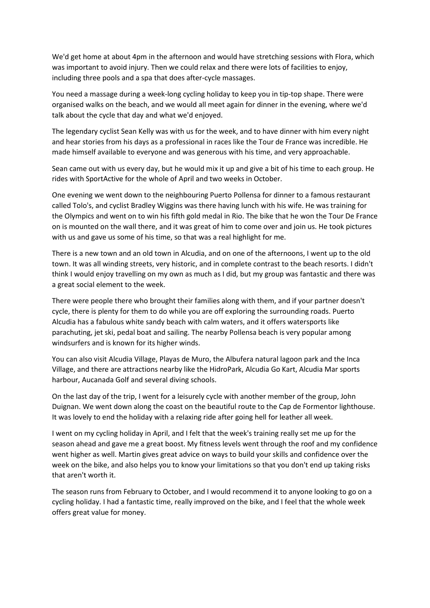We'd get home at about 4pm in the afternoon and would have stretching sessions with Flora, which was important to avoid injury. Then we could relax and there were lots of facilities to enjoy, including three pools and a spa that does after-cycle massages.

You need a massage during a week-long cycling holiday to keep you in tip-top shape. There were organised walks on the beach, and we would all meet again for dinner in the evening, where we'd talk about the cycle that day and what we'd enjoyed.

The legendary cyclist Sean Kelly was with us for the week, and to have dinner with him every night and hear stories from his days as a professional in races like the Tour de France was incredible. He made himself available to everyone and was generous with his time, and very approachable.

Sean came out with us every day, but he would mix it up and give a bit of his time to each group. He rides with SportActive for the whole of April and two weeks in October.

One evening we went down to the neighbouring Puerto Pollensa for dinner to a famous restaurant called Tolo's, and cyclist Bradley Wiggins was there having lunch with his wife. He was training for the Olympics and went on to win his fifth gold medal in Rio. The bike that he won the Tour De France on is mounted on the wall there, and it was great of him to come over and join us. He took pictures with us and gave us some of his time, so that was a real highlight for me.

There is a new town and an old town in Alcudia, and on one of the afternoons, I went up to the old town. It was all winding streets, very historic, and in complete contrast to the beach resorts. I didn't think I would enjoy travelling on my own as much as I did, but my group was fantastic and there was a great social element to the week.

There were people there who brought their families along with them, and if your partner doesn't cycle, there is plenty for them to do while you are off exploring the surrounding roads. Puerto Alcudia has a fabulous white sandy beach with calm waters, and it offers watersports like parachuting, jet ski, pedal boat and sailing. The nearby Pollensa beach is very popular among windsurfers and is known for its higher winds.

You can also visit Alcudia Village, Playas de Muro, the Albufera natural lagoon park and the Inca Village, and there are attractions nearby like the HidroPark, Alcudia Go Kart, Alcudia Mar sports harbour, Aucanada Golf and several diving schools.

On the last day of the trip, I went for a leisurely cycle with another member of the group, John Duignan. We went down along the coast on the beautiful route to the Cap de Formentor lighthouse. It was lovely to end the holiday with a relaxing ride after going hell for leather all week.

I went on my cycling holiday in April, and I felt that the week's training really set me up for the season ahead and gave me a great boost. My fitness levels went through the roof and my confidence went higher as well. Martin gives great advice on ways to build your skills and confidence over the week on the bike, and also helps you to know your limitations so that you don't end up taking risks that aren't worth it.

The season runs from February to October, and I would recommend it to anyone looking to go on a cycling holiday. I had a fantastic time, really improved on the bike, and I feel that the whole week offers great value for money.